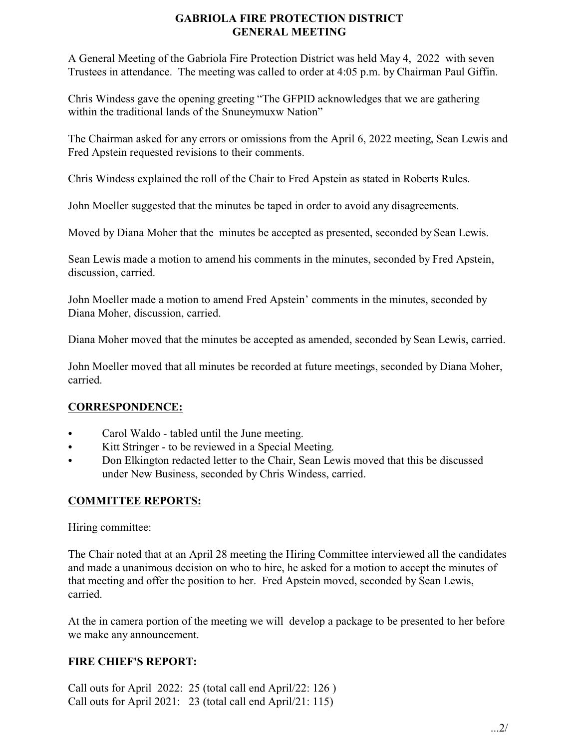## **GABRIOLA FIRE PROTECTION DISTRICT GENERAL MEETING**

A General Meeting of the Gabriola Fire Protection District was held May 4, 2022 with seven Trustees in attendance. The meeting was called to order at 4:05 p.m. by Chairman Paul Giffin.

Chris Windess gave the opening greeting "The GFPID acknowledges that we are gathering within the traditional lands of the Snuneymuxw Nation"

The Chairman asked for any errors or omissions from the April 6, 2022 meeting, Sean Lewis and Fred Apstein requested revisions to their comments.

Chris Windess explained the roll of the Chair to Fred Apstein as stated in Roberts Rules.

John Moeller suggested that the minutes be taped in order to avoid any disagreements.

Moved by Diana Moher that the minutes be accepted as presented, seconded by Sean Lewis.

Sean Lewis made a motion to amend his comments in the minutes, seconded by Fred Apstein, discussion, carried.

John Moeller made a motion to amend Fred Apstein' comments in the minutes, seconded by Diana Moher, discussion, carried.

Diana Moher moved that the minutes be accepted as amended, seconded by Sean Lewis, carried.

John Moeller moved that all minutes be recorded at future meetings, seconded by Diana Moher, carried.

# **CORRESPONDENCE:**

- Carol Waldo tabled until the June meeting.
- Kitt Stringer to be reviewed in a Special Meeting.
- Don Elkington redacted letter to the Chair, Sean Lewis moved that this be discussed under New Business, seconded by Chris Windess, carried.

## **COMMITTEE REPORTS:**

Hiring committee:

The Chair noted that at an April 28 meeting the Hiring Committee interviewed all the candidates and made a unanimous decision on who to hire, he asked for a motion to accept the minutes of that meeting and offer the position to her. Fred Apstein moved, seconded by Sean Lewis, carried.

At the in camera portion of the meeting we will develop a package to be presented to her before we make any announcement.

# **FIRE CHIEF'S REPORT:**

Call outs for April 2022: 25 (total call end April/22: 126 ) Call outs for April 2021: 23 (total call end April/21: 115)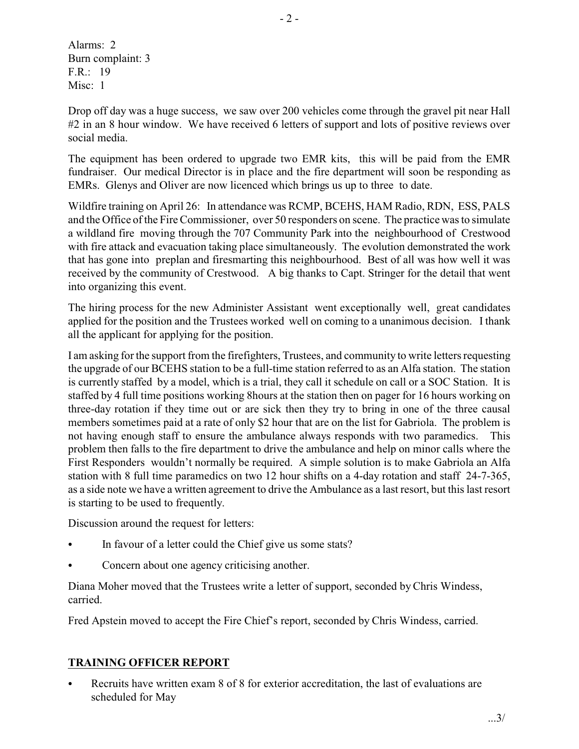Alarms: 2 Burn complaint: 3 F.R.: 19 Misc: 1

Drop off day was a huge success, we saw over 200 vehicles come through the gravel pit near Hall #2 in an 8 hour window. We have received 6 letters of support and lots of positive reviews over social media.

The equipment has been ordered to upgrade two EMR kits, this will be paid from the EMR fundraiser. Our medical Director is in place and the fire department will soon be responding as EMRs. Glenys and Oliver are now licenced which brings us up to three to date.

Wildfire training on April 26: In attendance was RCMP, BCEHS, HAM Radio, RDN, ESS, PALS and the Office of the Fire Commissioner, over 50 responders on scene. The practice was to simulate a wildland fire moving through the 707 Community Park into the neighbourhood of Crestwood with fire attack and evacuation taking place simultaneously. The evolution demonstrated the work that has gone into preplan and firesmarting this neighbourhood. Best of all was how well it was received by the community of Crestwood. A big thanks to Capt. Stringer for the detail that went into organizing this event.

The hiring process for the new Administer Assistant went exceptionally well, great candidates applied for the position and the Trustees worked well on coming to a unanimous decision. I thank all the applicant for applying for the position.

I am asking for the support from the firefighters, Trustees, and community to write letters requesting the upgrade of our BCEHS station to be a full-time station referred to as an Alfa station. The station is currently staffed by a model, which is a trial, they call it schedule on call or a SOC Station. It is staffed by 4 full time positions working 8hours at the station then on pager for 16 hours working on three-day rotation if they time out or are sick then they try to bring in one of the three causal members sometimes paid at a rate of only \$2 hour that are on the list for Gabriola. The problem is not having enough staff to ensure the ambulance always responds with two paramedics. This problem then falls to the fire department to drive the ambulance and help on minor calls where the First Responders wouldn't normally be required. A simple solution is to make Gabriola an Alfa station with 8 full time paramedics on two 12 hour shifts on a 4-day rotation and staff 24-7-365, as a side note we have a written agreement to drive the Ambulance as a last resort, but this last resort is starting to be used to frequently.

Discussion around the request for letters:

- In favour of a letter could the Chief give us some stats?
- Concern about one agency criticising another.

Diana Moher moved that the Trustees write a letter of support, seconded byChris Windess, carried.

Fred Apstein moved to accept the Fire Chief's report, seconded by Chris Windess, carried.

# **TRAINING OFFICER REPORT**

Recruits have written exam 8 of 8 for exterior accreditation, the last of evaluations are scheduled for May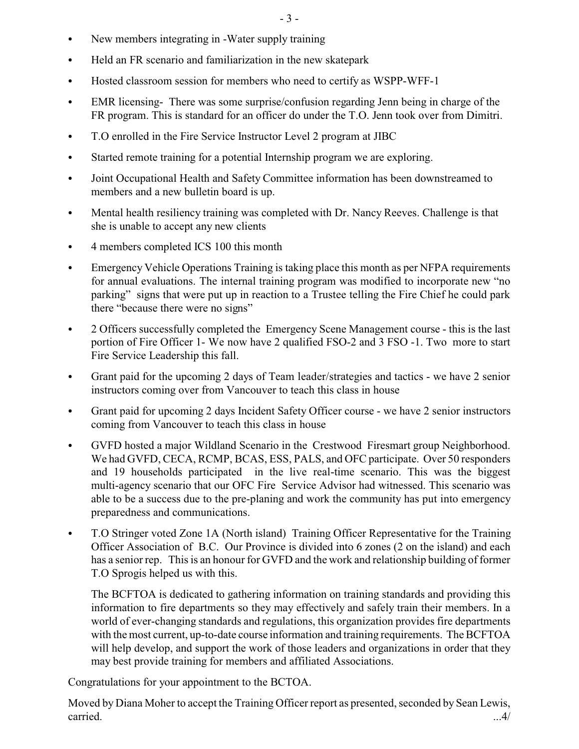- New members integrating in -Water supply training
- Held an FR scenario and familiarization in the new skatepark
- Hosted classroom session for members who need to certify as WSPP-WFF-1
- EMR licensing- There was some surprise/confusion regarding Jenn being in charge of the FR program. This is standard for an officer do under the T.O. Jenn took over from Dimitri.
- T.O enrolled in the Fire Service Instructor Level 2 program at JIBC
- Started remote training for a potential Internship program we are exploring.
- Joint Occupational Health and Safety Committee information has been downstreamed to members and a new bulletin board is up.
- Mental health resiliency training was completed with Dr. Nancy Reeves. Challenge is that she is unable to accept any new clients
- 4 members completed ICS 100 this month
- Emergency Vehicle Operations Training is taking place this month as per NFPA requirements for annual evaluations. The internal training program was modified to incorporate new "no parking" signs that were put up in reaction to a Trustee telling the Fire Chief he could park there "because there were no signs"
- 2 Officers successfully completed the Emergency Scene Management course this is the last portion of Fire Officer 1- We now have 2 qualified FSO-2 and 3 FSO -1. Two more to start Fire Service Leadership this fall.
- Grant paid for the upcoming 2 days of Team leader/strategies and tactics we have 2 senior instructors coming over from Vancouver to teach this class in house
- Grant paid for upcoming 2 days Incident Safety Officer course we have 2 senior instructors coming from Vancouver to teach this class in house
- GVFD hosted a major Wildland Scenario in the Crestwood Firesmart group Neighborhood. We had GVFD, CECA, RCMP, BCAS, ESS, PALS, and OFC participate. Over 50 responders and 19 households participated in the live real-time scenario. This was the biggest multi-agency scenario that our OFC Fire Service Advisor had witnessed. This scenario was able to be a success due to the pre-planing and work the community has put into emergency preparedness and communications.
- T.O Stringer voted Zone 1A (North island) Training Officer Representative for the Training Officer Association of B.C. Our Province is divided into 6 zones (2 on the island) and each has a senior rep. This is an honour for GVFD and the work and relationship building of former T.O Sprogis helped us with this.

The BCFTOA is dedicated to gathering information on training standards and providing this information to fire departments so they may effectively and safely train their members. In a world of ever-changing standards and regulations, this organization provides fire departments with the most current, up-to-date course information and training requirements. The BCFTOA will help develop, and support the work of those leaders and organizations in order that they may best provide training for members and affiliated Associations.

Congratulations for your appointment to the BCTOA.

Moved by Diana Moher to accept the Training Officer report as presented, seconded by Sean Lewis, carried. ...4/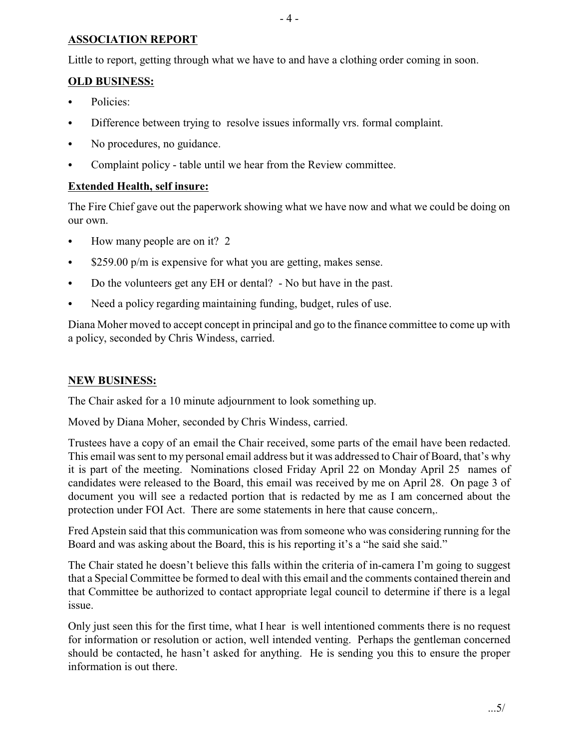#### **ASSOCIATION REPORT**

Little to report, getting through what we have to and have a clothing order coming in soon.

### **OLD BUSINESS:**

- Policies:
- Difference between trying to resolve issues informally vrs. formal complaint.
- No procedures, no guidance.
- Complaint policy table until we hear from the Review committee.

#### **Extended Health, self insure:**

The Fire Chief gave out the paperwork showing what we have now and what we could be doing on our own.

- $\bullet$  How many people are on it? 2
- $\bullet$  \$259.00 p/m is expensive for what you are getting, makes sense.
- Do the volunteers get any EH or dental? No but have in the past.
- Need a policy regarding maintaining funding, budget, rules of use.

Diana Moher moved to accept concept in principal and go to the finance committee to come up with a policy, seconded by Chris Windess, carried.

#### **NEW BUSINESS:**

The Chair asked for a 10 minute adjournment to look something up.

Moved by Diana Moher, seconded by Chris Windess, carried.

Trustees have a copy of an email the Chair received, some parts of the email have been redacted. This email was sent to my personal email address but it was addressed to Chair of Board, that's why it is part of the meeting. Nominations closed Friday April 22 on Monday April 25 names of candidates were released to the Board, this email was received by me on April 28. On page 3 of document you will see a redacted portion that is redacted by me as I am concerned about the protection under FOI Act. There are some statements in here that cause concern,.

Fred Apstein said that this communication was from someone who was considering running for the Board and was asking about the Board, this is his reporting it's a "he said she said."

The Chair stated he doesn't believe this falls within the criteria of in-camera I'm going to suggest that a Special Committee be formed to deal with this email and the comments contained therein and that Committee be authorized to contact appropriate legal council to determine if there is a legal issue.

Only just seen this for the first time, what I hear is well intentioned comments there is no request for information or resolution or action, well intended venting. Perhaps the gentleman concerned should be contacted, he hasn't asked for anything. He is sending you this to ensure the proper information is out there.